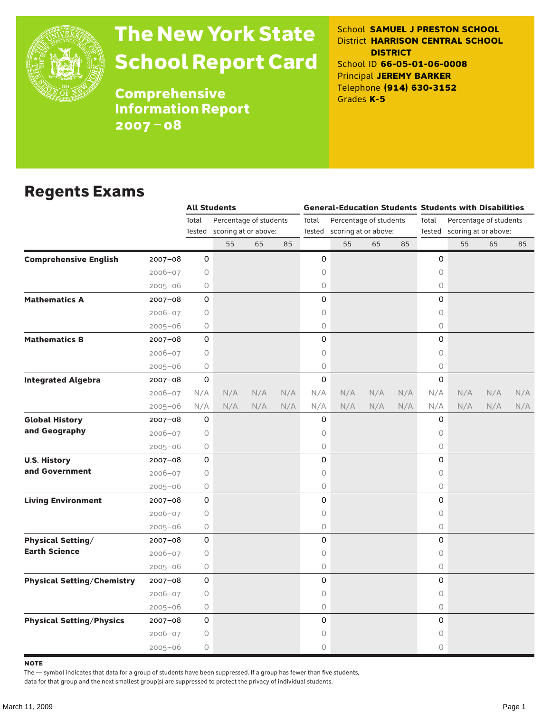

# The New York State School Report Card

School **SAMUEL J PRESTON SCHOOL** District **HARRISON CENTRAL SCHOOL DISTRICT** School ID **66-05-01-06-0008** Principal **JEREMY BARKER** Telephone **(914) 630-3152** Grades **K-5**

**Comprehensive** Information Report 2007–08

### Regents Exams

|                                   |             | <b>All Students</b> |                             |     |     | <b>General-Education Students Students with Disabilities</b> |                        |     |     |                             |                        |     |     |  |
|-----------------------------------|-------------|---------------------|-----------------------------|-----|-----|--------------------------------------------------------------|------------------------|-----|-----|-----------------------------|------------------------|-----|-----|--|
|                                   |             | Total               | Percentage of students      |     |     | Total                                                        | Percentage of students |     |     | Total                       | Percentage of students |     |     |  |
|                                   |             |                     | Tested scoring at or above: |     |     | Tested scoring at or above:                                  |                        |     |     | Tested scoring at or above: |                        |     |     |  |
|                                   |             |                     | 55                          | 65  | 85  |                                                              | 55                     | 65  | 85  |                             | 55                     | 65  | 85  |  |
| <b>Comprehensive English</b>      | $2007 - 08$ | 0                   |                             |     |     | 0                                                            |                        |     |     | 0                           |                        |     |     |  |
|                                   | $2006 - 07$ | 0                   |                             |     |     | 0                                                            |                        |     |     | 0                           |                        |     |     |  |
|                                   | $2005 - 06$ | 0                   |                             |     |     | 0                                                            |                        |     |     | $\circ$                     |                        |     |     |  |
| <b>Mathematics A</b>              | $2007 - 08$ | 0                   |                             |     |     | 0                                                            |                        |     |     | 0                           |                        |     |     |  |
|                                   | $2006 - 07$ | 0                   |                             |     |     | 0                                                            |                        |     |     | 0                           |                        |     |     |  |
|                                   | $2005 - 06$ | 0                   |                             |     |     | 0                                                            |                        |     |     | $\circ$                     |                        |     |     |  |
| <b>Mathematics B</b>              | $2007 - 08$ | 0                   |                             |     |     | 0                                                            |                        |     |     | 0                           |                        |     |     |  |
|                                   | $2006 - 07$ | $\circ$             |                             |     |     | 0                                                            |                        |     |     | $\circ$                     |                        |     |     |  |
|                                   | $2005 - 06$ | $\circ$             |                             |     |     | 0                                                            |                        |     |     | $\circ$                     |                        |     |     |  |
| <b>Integrated Algebra</b>         | $2007 - 08$ | 0                   |                             |     |     | 0                                                            |                        |     |     | 0                           |                        |     |     |  |
|                                   | $2006 - 07$ | N/A                 | N/A                         | N/A | N/A | N/A                                                          | N/A                    | N/A | N/A | N/A                         | N/A                    | N/A | N/A |  |
|                                   | $2005 - 06$ | N/A                 | N/A                         | N/A | N/A | N/A                                                          | N/A                    | N/A | N/A | N/A                         | N/A                    | N/A | N/A |  |
| <b>Global History</b>             | 2007-08     | 0                   |                             |     |     | 0                                                            |                        |     |     | 0                           |                        |     |     |  |
| and Geography                     | $2006 - 07$ | 0                   |                             |     |     | 0                                                            |                        |     |     | 0                           |                        |     |     |  |
|                                   | $2005 - 06$ | 0                   |                             |     |     | 0                                                            |                        |     |     | $\circ$                     |                        |     |     |  |
| <b>U.S. History</b>               | $2007 - 08$ | 0                   |                             |     |     | 0                                                            |                        |     |     | 0                           |                        |     |     |  |
| and Government                    | $2006 - 07$ | 0                   |                             |     |     | 0                                                            |                        |     |     | $\circ$                     |                        |     |     |  |
|                                   | $2005 - 06$ | 0                   |                             |     |     | 0                                                            |                        |     |     | $\circ$                     |                        |     |     |  |
| <b>Living Environment</b>         | $2007 - 08$ | 0                   |                             |     |     | 0                                                            |                        |     |     | 0                           |                        |     |     |  |
|                                   | $2006 - 07$ | 0                   |                             |     |     | 0                                                            |                        |     |     | $\circ$                     |                        |     |     |  |
|                                   | $2005 - 06$ | 0                   |                             |     |     | 0                                                            |                        |     |     | $\circ$                     |                        |     |     |  |
| <b>Physical Setting/</b>          | 2007-08     | 0                   |                             |     |     | 0                                                            |                        |     |     | 0                           |                        |     |     |  |
| <b>Earth Science</b>              | $2006 - 07$ | $\circ$             |                             |     |     | 0                                                            |                        |     |     | $\circ$                     |                        |     |     |  |
|                                   | $2005 - 06$ | 0                   |                             |     |     | 0                                                            |                        |     |     | 0                           |                        |     |     |  |
| <b>Physical Setting/Chemistry</b> | $2007 - 08$ | 0                   |                             |     |     | 0                                                            |                        |     |     | 0                           |                        |     |     |  |
|                                   | $2006 - 07$ | 0                   |                             |     |     | 0                                                            |                        |     |     | 0                           |                        |     |     |  |
|                                   | $2005 - 06$ | 0                   |                             |     |     | 0                                                            |                        |     |     | $\circ$                     |                        |     |     |  |
| <b>Physical Setting/Physics</b>   | $2007 - 08$ | 0                   |                             |     |     | 0                                                            |                        |     |     | $\Omega$                    |                        |     |     |  |
|                                   | $2006 - 07$ | 0                   |                             |     |     | 0                                                            |                        |     |     | 0                           |                        |     |     |  |
|                                   | $2005 - 06$ | 0                   |                             |     |     | 0                                                            |                        |     |     | 0                           |                        |     |     |  |

**NOTE** 

The — symbol indicates that data for a group of students have been suppressed. If a group has fewer than five students,

data for that group and the next smallest group(s) are suppressed to protect the privacy of individual students.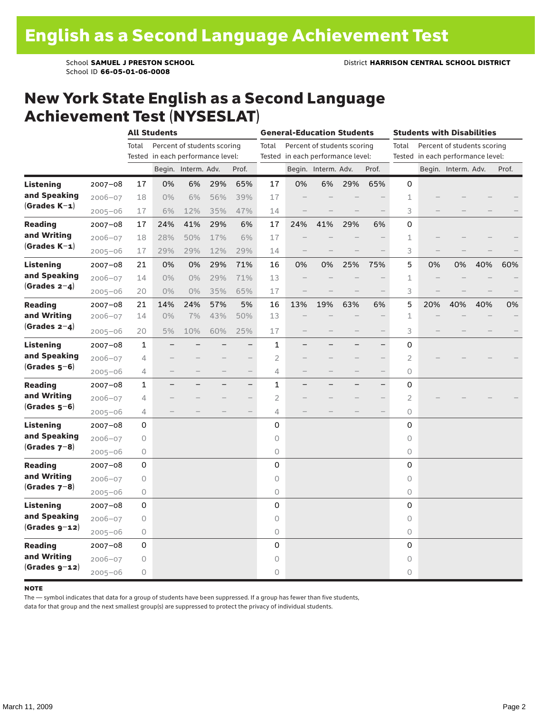### New York State English as a Second Language Achievement Test (NYSESLAT)

|                  |             | <b>All Students</b>                  |       |                     |     |                                   | <b>General-Education Students</b>    |     |                     |     |                                   | <b>Students with Disabilities</b>    |     |                     |     |       |  |
|------------------|-------------|--------------------------------------|-------|---------------------|-----|-----------------------------------|--------------------------------------|-----|---------------------|-----|-----------------------------------|--------------------------------------|-----|---------------------|-----|-------|--|
|                  |             | Percent of students scoring<br>Total |       |                     |     |                                   | Percent of students scoring<br>Total |     |                     |     |                                   | Total<br>Percent of students scoring |     |                     |     |       |  |
|                  |             | Tested in each performance level:    |       |                     |     | Tested in each performance level: |                                      |     |                     |     | Tested in each performance level: |                                      |     |                     |     |       |  |
|                  |             |                                      |       | Begin. Interm. Adv. |     | Prof.                             |                                      |     | Begin. Interm. Adv. |     | Prof.                             |                                      |     | Begin. Interm. Adv. |     | Prof. |  |
| <b>Listening</b> | $2007 - 08$ | 17                                   | 0%    | 6%                  | 29% | 65%                               | 17                                   | 0%  | 6%                  | 29% | 65%                               | 0                                    |     |                     |     |       |  |
| and Speaking     | $2006 - 07$ | 18                                   | $0\%$ | 6%                  | 56% | 39%                               | 17                                   |     |                     |     |                                   | 1                                    |     |                     |     |       |  |
| $(Grades K-1)$   | $2005 - 06$ | 17                                   | 6%    | 12%                 | 35% | 47%                               | 14                                   |     |                     |     |                                   | 3                                    |     |                     |     |       |  |
| <b>Reading</b>   | $2007 - 08$ | 17                                   | 24%   | 41%                 | 29% | 6%                                | 17                                   | 24% | 41%                 | 29% | 6%                                | 0                                    |     |                     |     |       |  |
| and Writing      | $2006 - 07$ | 18                                   | 28%   | 50%                 | 17% | 6%                                | 17                                   |     |                     |     |                                   | 1                                    |     |                     |     |       |  |
| $(Grades K-1)$   | $2005 - 06$ | 17                                   | 29%   | 29%                 | 12% | 29%                               | 14                                   |     |                     |     |                                   | 3                                    |     |                     |     |       |  |
| Listening        | 2007-08     | 21                                   | 0%    | 0%                  | 29% | 71%                               | 16                                   | 0%  | 0%                  | 25% | 75%                               | 5                                    | 0%  | 0%                  | 40% | 60%   |  |
| and Speaking     | $2006 - 07$ | 14                                   | 0%    | 0%                  | 29% | 71%                               | 13                                   |     |                     |     |                                   | 1                                    |     |                     |     |       |  |
| $(Grades 2-4)$   | $2005 - 06$ | 20                                   | $0\%$ | 0%                  | 35% | 65%                               | 17                                   |     |                     |     |                                   | 3                                    |     |                     |     |       |  |
| <b>Reading</b>   | $2007 - 08$ | 21                                   | 14%   | 24%                 | 57% | 5%                                | 16                                   | 13% | 19%                 | 63% | 6%                                | 5                                    | 20% | 40%                 | 40% | 0%    |  |
| and Writing      | 2006-07     | 14                                   | 0%    | 7%                  | 43% | 50%                               | 13                                   |     |                     |     |                                   | $\mathbf{1}$                         |     |                     |     |       |  |
| $(Grades 2-4)$   | $2005 - 06$ | 20                                   | 5%    | 10%                 | 60% | 25%                               | 17                                   |     |                     |     |                                   | 3                                    |     |                     |     |       |  |
| Listening        | $2007 - 08$ | 1                                    |       |                     |     | $\overline{\phantom{0}}$          | 1                                    |     |                     |     | $\overline{\phantom{0}}$          | 0                                    |     |                     |     |       |  |
| and Speaking     | $2006 - 07$ | 4                                    |       |                     |     |                                   | $\overline{2}$                       |     |                     |     |                                   | $\overline{2}$                       |     |                     |     |       |  |
| $(Grades 5-6)$   | $2005 - 06$ | 4                                    |       |                     |     | $\overline{\phantom{0}}$          | 4                                    |     |                     |     | $\overline{\phantom{0}}$          | 0                                    |     |                     |     |       |  |
| <b>Reading</b>   | $2007 - 08$ | 1                                    | -     |                     |     | -                                 | 1                                    | —   |                     |     | $\qquad \qquad -$                 | 0                                    |     |                     |     |       |  |
| and Writing      | $2006 - 07$ | 4                                    |       |                     |     | $\overline{\phantom{0}}$          | $\overline{2}$                       |     |                     |     | $\overline{\phantom{0}}$          | 2                                    |     |                     |     |       |  |
| $(Grades 5-6)$   | $2005 - 06$ | 4                                    |       |                     |     |                                   | $\overline{4}$                       |     |                     |     | $\qquad \qquad -$                 | 0                                    |     |                     |     |       |  |
| Listening        | $2007 - 08$ | 0                                    |       |                     |     |                                   | $\mathbf 0$                          |     |                     |     |                                   | 0                                    |     |                     |     |       |  |
| and Speaking     | $2006 - 07$ | 0                                    |       |                     |     |                                   | 0                                    |     |                     |     |                                   | 0                                    |     |                     |     |       |  |
| $(Grades 7-8)$   | $2005 - 06$ | 0                                    |       |                     |     |                                   | 0                                    |     |                     |     |                                   | 0                                    |     |                     |     |       |  |
| <b>Reading</b>   | $2007 - 08$ | 0                                    |       |                     |     |                                   | 0                                    |     |                     |     |                                   | 0                                    |     |                     |     |       |  |
| and Writing      | $2006 - 07$ | 0                                    |       |                     |     |                                   | $\circ$                              |     |                     |     |                                   | 0                                    |     |                     |     |       |  |
| $(Grades 7-8)$   | $2005 - 06$ | 0                                    |       |                     |     |                                   | $\mathsf O$                          |     |                     |     |                                   | 0                                    |     |                     |     |       |  |
| <b>Listening</b> | $2007 - 08$ | 0                                    |       |                     |     |                                   | $\mathsf 0$                          |     |                     |     |                                   | 0                                    |     |                     |     |       |  |
| and Speaking     | $2006 - 07$ | 0                                    |       |                     |     |                                   | $\circ$                              |     |                     |     |                                   | 0                                    |     |                     |     |       |  |
| $(Grades g-12)$  | $2005 - 06$ | 0                                    |       |                     |     |                                   | $\mathsf O$                          |     |                     |     |                                   | 0                                    |     |                     |     |       |  |
| <b>Reading</b>   | $2007 - 08$ | 0                                    |       |                     |     |                                   | 0                                    |     |                     |     |                                   | 0                                    |     |                     |     |       |  |
| and Writing      | $2006 - 07$ | 0                                    |       |                     |     |                                   | $\circ$                              |     |                     |     |                                   | 0                                    |     |                     |     |       |  |
| $(Grades g-12)$  | $2005 - 06$ | 0                                    |       |                     |     |                                   | $\circ$                              |     |                     |     |                                   | 0                                    |     |                     |     |       |  |

#### **NOTE**

The — symbol indicates that data for a group of students have been suppressed. If a group has fewer than five students,

data for that group and the next smallest group(s) are suppressed to protect the privacy of individual students.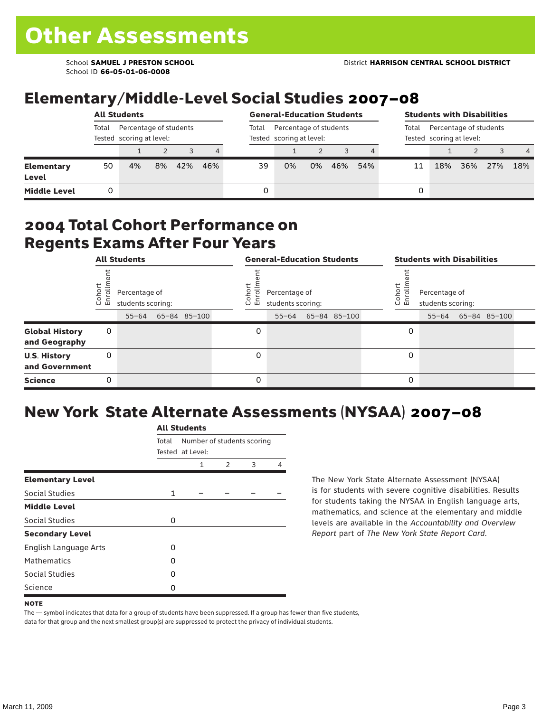School ID **66-05-01-06-0008**

## Elementary/Middle-Level Social Studies 2007–08

|                            | <b>All Students</b>                                         |    |    |     |                |       | <b>General-Education Students</b>                  |    |                                                             |     |    |     | <b>Students with Disabilities</b> |     |     |  |  |  |
|----------------------------|-------------------------------------------------------------|----|----|-----|----------------|-------|----------------------------------------------------|----|-------------------------------------------------------------|-----|----|-----|-----------------------------------|-----|-----|--|--|--|
|                            | Total<br>Percentage of students<br>Tested scoring at level: |    |    |     |                | Total | Percentage of students<br>Tested scoring at level: |    | Percentage of students<br>Total<br>Tested scoring at level: |     |    |     |                                   |     |     |  |  |  |
|                            |                                                             |    |    |     | $\overline{4}$ |       |                                                    |    |                                                             |     |    |     |                                   |     | -4  |  |  |  |
| <b>Elementary</b><br>Level | 50                                                          | 4% | 8% | 42% | 46%            | 39    | 0%                                                 | 0% | 46%                                                         | 54% | 11 | 18% | 36%                               | 27% | 18% |  |  |  |
| <b>Middle Level</b>        |                                                             |    |    |     |                | 0     |                                                    |    |                                                             |     | 0  |     |                                   |     |     |  |  |  |

### 2004 Total Cohort Performance on Regents Exams After Four Years

|                                        | <b>All Students</b>                |           |  |              |                                                            | <b>General-Education Students</b> |           |  |              |                                                                               |   | <b>Students with Disabilities</b> |  |  |  |  |
|----------------------------------------|------------------------------------|-----------|--|--------------|------------------------------------------------------------|-----------------------------------|-----------|--|--------------|-------------------------------------------------------------------------------|---|-----------------------------------|--|--|--|--|
|                                        | Percentage of<br>students scoring: |           |  |              | Coho<br>Percentage of<br>$\circ$<br>ᇛ<br>students scoring: |                                   |           |  |              | Cohort<br>Percentage of<br>o,<br>문<br>students scoring:<br>55-64 65-84 85-100 |   |                                   |  |  |  |  |
|                                        |                                    | $55 - 64$ |  | 65-84 85-100 |                                                            |                                   | $55 - 64$ |  | 65-84 85-100 |                                                                               |   |                                   |  |  |  |  |
| <b>Global History</b><br>and Geography | 0                                  |           |  |              |                                                            | 0                                 |           |  |              |                                                                               | 0 |                                   |  |  |  |  |
| <b>U.S. History</b><br>and Government  | 0                                  |           |  |              |                                                            | $\Omega$                          |           |  |              |                                                                               | 0 |                                   |  |  |  |  |
| <b>Science</b>                         | 0                                  |           |  |              |                                                            | 0                                 |           |  |              |                                                                               | 0 |                                   |  |  |  |  |

## New York State Alternate Assessments (NYSAA) 2007–08

|                         |              | AIL SLUUCIILS                                  |   |   |   |  |  |  |  |  |  |  |  |
|-------------------------|--------------|------------------------------------------------|---|---|---|--|--|--|--|--|--|--|--|
|                         | Total        | Number of students scoring<br>Tested at Level: |   |   |   |  |  |  |  |  |  |  |  |
|                         |              | 1                                              | 2 | 3 | 4 |  |  |  |  |  |  |  |  |
| <b>Elementary Level</b> |              |                                                |   |   |   |  |  |  |  |  |  |  |  |
| Social Studies          | $\mathbf{1}$ |                                                |   |   |   |  |  |  |  |  |  |  |  |
| <b>Middle Level</b>     |              |                                                |   |   |   |  |  |  |  |  |  |  |  |
| Social Studies          | 0            |                                                |   |   |   |  |  |  |  |  |  |  |  |
| <b>Secondary Level</b>  |              |                                                |   |   |   |  |  |  |  |  |  |  |  |
| English Language Arts   | O            |                                                |   |   |   |  |  |  |  |  |  |  |  |
| <b>Mathematics</b>      | O            |                                                |   |   |   |  |  |  |  |  |  |  |  |
| <b>Social Studies</b>   | O            |                                                |   |   |   |  |  |  |  |  |  |  |  |
| Science                 | Ω            |                                                |   |   |   |  |  |  |  |  |  |  |  |

All C<sub>tude</sub>

The New York State Alternate Assessment (NYSAA) is for students with severe cognitive disabilities. Results for students taking the NYSAA in English language arts, mathematics, and science at the elementary and middle levels are available in the *Accountability and Overview Report* part of *The New York State Report Card*.

The — symbol indicates that data for a group of students have been suppressed. If a group has fewer than five students, data for that group and the next smallest group(s) are suppressed to protect the privacy of individual students.

**NOTE**